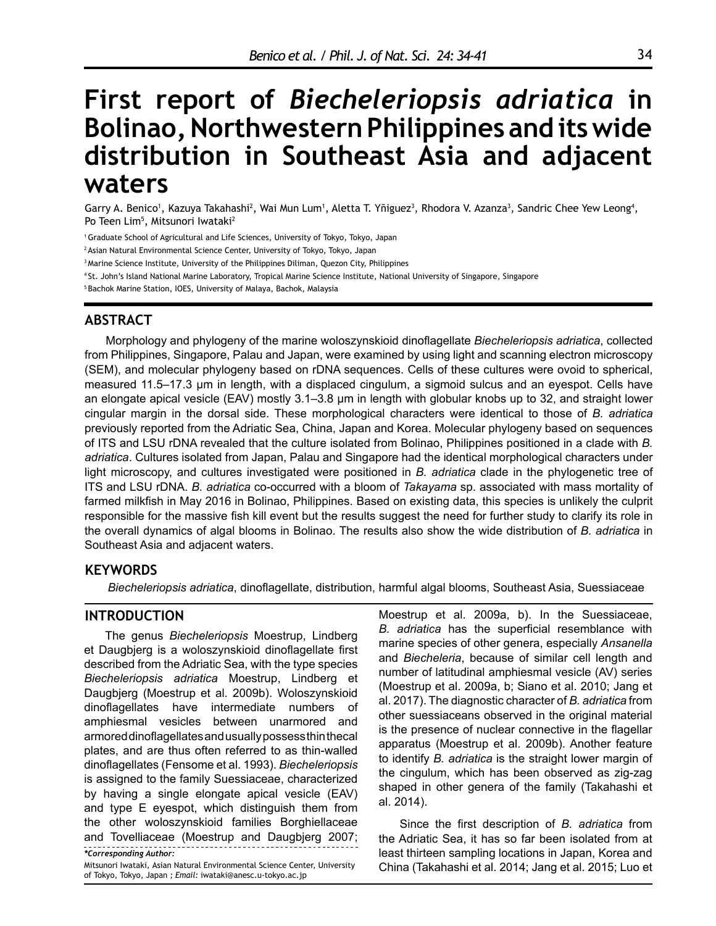# **First report of** *Biecheleriopsis adriatica* **in Bolinao, Northwestern Philippines and its wide distribution in Southeast Asia and adjacent waters**

Garry A. Benico<sup>1</sup>, Kazuya Takahashi<sup>2</sup>, Wai Mun Lum<sup>1</sup>, Aletta T. Yñiguez<sup>3</sup>, Rhodora V. Azanza<sup>3</sup>, Sandric Chee Yew Leong<sup>4</sup>, Po Teen Lim<sup>5</sup>, Mitsunori Iwataki<sup>2</sup>

1 Graduate School of Agricultural and Life Sciences, University of Tokyo, Tokyo, Japan

2 Asian Natural Environmental Science Center, University of Tokyo, Tokyo, Japan

<sup>3</sup> Marine Science Institute, University of the Philippines Diliman, Quezon City, Philippines

4 St. John's Island National Marine Laboratory, Tropical Marine Science Institute, National University of Singapore, Singapore

5 Bachok Marine Station, IOES, University of Malaya, Bachok, Malaysia

# **ABSTRACT**

Morphology and phylogeny of the marine woloszynskioid dinoflagellate *Biecheleriopsis adriatica*, collected from Philippines, Singapore, Palau and Japan, were examined by using light and scanning electron microscopy (SEM), and molecular phylogeny based on rDNA sequences. Cells of these cultures were ovoid to spherical, measured 11.5–17.3 µm in length, with a displaced cingulum, a sigmoid sulcus and an eyespot. Cells have an elongate apical vesicle (EAV) mostly 3.1–3.8 µm in length with globular knobs up to 32, and straight lower cingular margin in the dorsal side. These morphological characters were identical to those of *B. adriatica* previously reported from the Adriatic Sea, China, Japan and Korea. Molecular phylogeny based on sequences of ITS and LSU rDNA revealed that the culture isolated from Bolinao, Philippines positioned in a clade with *B. adriatica*. Cultures isolated from Japan, Palau and Singapore had the identical morphological characters under light microscopy, and cultures investigated were positioned in *B. adriatica* clade in the phylogenetic tree of ITS and LSU rDNA. *B. adriatica* co-occurred with a bloom of *Takayama* sp. associated with mass mortality of farmed milkfish in May 2016 in Bolinao, Philippines. Based on existing data, this species is unlikely the culprit responsible for the massive fish kill event but the results suggest the need for further study to clarify its role in the overall dynamics of algal blooms in Bolinao. The results also show the wide distribution of *B. adriatica* in Southeast Asia and adjacent waters.

## **KEYWORDS**

 *Biecheleriopsis adriatica*, dinoflagellate, distribution, harmful algal blooms, Southeast Asia, Suessiaceae

## **INTRODUCTION**

*\*Corresponding Author:* The genus *Biecheleriopsis* Moestrup, Lindberg et Daugbjerg is a woloszynskioid dinoflagellate first described from the Adriatic Sea, with the type species *Biecheleriopsis adriatica* Moestrup, Lindberg et Daugbjerg (Moestrup et al. 2009b). Woloszynskioid dinoflagellates have intermediate numbers of amphiesmal vesicles between unarmored and armored dinoflagellates and usually possess thin thecal plates, and are thus often referred to as thin-walled dinoflagellates (Fensome et al. 1993). *Biecheleriopsis*  is assigned to the family Suessiaceae, characterized by having a single elongate apical vesicle (EAV) and type E eyespot, which distinguish them from the other woloszynskioid families Borghiellaceae and Tovelliaceae (Moestrup and Daugbjerg 2007;

Mitsunori Iwataki*,* Asian Natural Environmental Science Center, University of Tokyo, Tokyo, Japan *; Email:* [iwataki@anesc.u-tokyo.ac.jp](mailto:iwataki@anesc.u-tokyo.ac.jp)

Moestrup et al. 2009a, b). In the Suessiaceae, *B. adriatica* has the superficial resemblance with marine species of other genera, especially *Ansanella* and *Biecheleria*, because of similar cell length and number of latitudinal amphiesmal vesicle (AV) series (Moestrup et al. 2009a, b; Siano et al. 2010; Jang et al. 2017). The diagnostic character of *B. adriatica* from other suessiaceans observed in the original material is the presence of nuclear connective in the flagellar apparatus (Moestrup et al. 2009b). Another feature to identify *B. adriatica* is the straight lower margin of the cingulum, which has been observed as zig-zag shaped in other genera of the family (Takahashi et al. 2014).

Since the first description of *B. adriatica* from the Adriatic Sea, it has so far been isolated from at least thirteen sampling locations in Japan, Korea and China (Takahashi et al. 2014; Jang et al. 2015; Luo et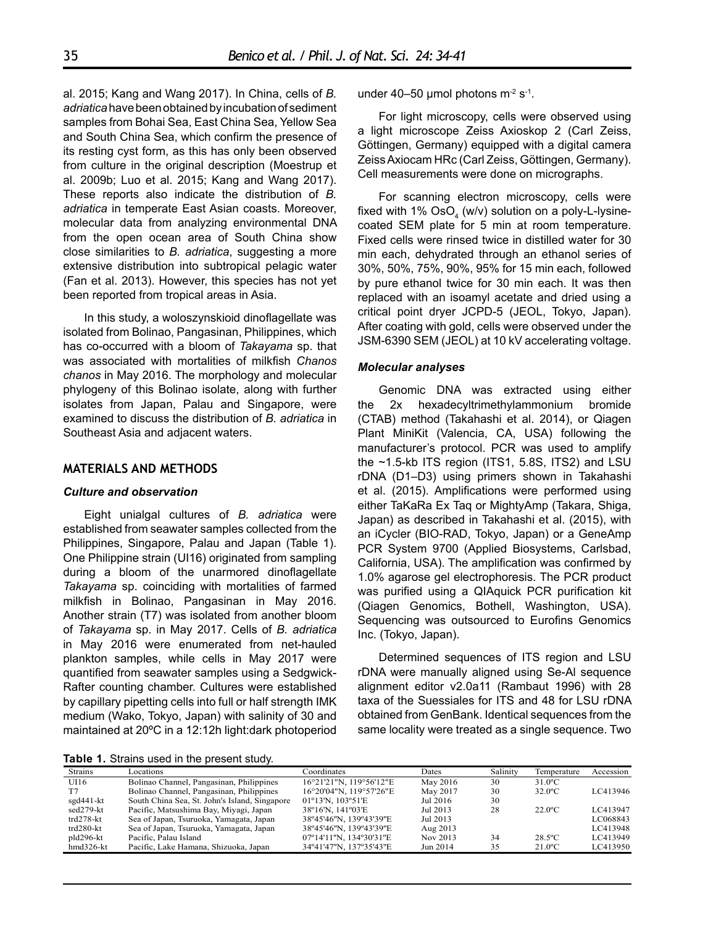al. 2015; Kang and Wang 2017). In China, cells of *B. adriatica* have been obtained by incubation of sediment samples from Bohai Sea, East China Sea, Yellow Sea and South China Sea, which confirm the presence of its resting cyst form, as this has only been observed from culture in the original description (Moestrup et al. 2009b; Luo et al. 2015; Kang and Wang 2017). These reports also indicate the distribution of *B. adriatica* in temperate East Asian coasts. Moreover, molecular data from analyzing environmental DNA from the open ocean area of South China show close similarities to *B. adriatica*, suggesting a more extensive distribution into subtropical pelagic water (Fan et al. 2013). However, this species has not yet been reported from tropical areas in Asia.

In this study, a woloszynskioid dinoflagellate was isolated from Bolinao, Pangasinan, Philippines, which has co-occurred with a bloom of *Takayama* sp. that was associated with mortalities of milkfish *Chanos chanos* in May 2016. The morphology and molecular phylogeny of this Bolinao isolate, along with further isolates from Japan, Palau and Singapore, were examined to discuss the distribution of *B. adriatica* in Southeast Asia and adjacent waters.

## **MATERIALS AND METHODS**

#### *Culture and observation*

Eight unialgal cultures of *B. adriatica* were established from seawater samples collected from the Philippines, Singapore, Palau and Japan (Table 1). One Philippine strain (UI16) originated from sampling during a bloom of the unarmored dinoflagellate *Takayama* sp. coinciding with mortalities of farmed milkfish in Bolinao, Pangasinan in May 2016. Another strain (T7) was isolated from another bloom of *Takayama* sp. in May 2017. Cells of *B. adriatica* in May 2016 were enumerated from net-hauled plankton samples, while cells in May 2017 were quantified from seawater samples using a Sedgwick-Rafter counting chamber. Cultures were established by capillary pipetting cells into full or half strength IMK medium (Wako, Tokyo, Japan) with salinity of 30 and maintained at 20ºC in a 12:12h light:dark photoperiod

**Table 1.** Strains used in the present study.

under 40–50 µmol photons  $m<sup>2</sup> s<sup>-1</sup>$ .

For light microscopy, cells were observed using a light microscope Zeiss Axioskop 2 (Carl Zeiss, Göttingen, Germany) equipped with a digital camera Zeiss Axiocam HRc (Carl Zeiss, Göttingen, Germany). Cell measurements were done on micrographs.

For scanning electron microscopy, cells were fixed with 1% OsO $_{\textrm{\tiny{4}}}$  (w/v) solution on a poly-L-lysinecoated SEM plate for 5 min at room temperature. Fixed cells were rinsed twice in distilled water for 30 min each, dehydrated through an ethanol series of 30%, 50%, 75%, 90%, 95% for 15 min each, followed by pure ethanol twice for 30 min each. It was then replaced with an isoamyl acetate and dried using a critical point dryer JCPD-5 (JEOL, Tokyo, Japan). After coating with gold, cells were observed under the JSM-6390 SEM (JEOL) at 10 kV accelerating voltage.

#### *Molecular analyses*

Genomic DNA was extracted using either the 2x hexadecyltrimethylammonium bromide (CTAB) method (Takahashi et al. 2014), or Qiagen Plant MiniKit (Valencia, CA, USA) following the manufacturer's protocol. PCR was used to amplify the ~1.5-kb ITS region (ITS1, 5.8S, ITS2) and LSU rDNA (D1–D3) using primers shown in Takahashi et al. (2015). Amplifications were performed using either TaKaRa Ex Taq or MightyAmp (Takara, Shiga, Japan) as described in Takahashi et al. (2015), with an iCycler (BIO-RAD, Tokyo, Japan) or a GeneAmp PCR System 9700 (Applied Biosystems, Carlsbad, California, USA). The amplification was confirmed by 1.0% agarose gel electrophoresis. The PCR product was purified using a QIAquick PCR purification kit (Qiagen Genomics, Bothell, Washington, USA). Sequencing was outsourced to Eurofins Genomics Inc. (Tokyo, Japan).

Determined sequences of ITS region and LSU rDNA were manually aligned using Se-Al sequence alignment editor v2.0a11 (Rambaut 1996) with 28 taxa of the Suessiales for ITS and 48 for LSU rDNA obtained from GenBank. Identical sequences from the same locality were treated as a single sequence. Two

Strains Locations Coordinates Dates Salinity Temperature Accession UI16 Bolinao Channel, Pangasinan, Philippines 16°21'21"N, 119°56'12"E May 2016 30 31.0ºC T7 Bolinao Channel, Pangasinan, Philippines 16°20'04"N, 119°57'26"E May 2017 30 32.0ºC LC413946 sgd441-kt South China Sea, St. John's Island, Singapore 01°13'N, 103°51'E Jul 2016 30<br>sed279-kt Pacific Matsushima Bay Miyagi Japan 38°16'N 141°03'E Jul 2013 28 sed279-kt Pacific, Matsushima Bay, Miyagi, Japan 38º16'N, 141º03'E Jul 2013 28 22.0ºC LC413947 trd278-kt Sea of Japan, Tsuruoka, Yamagata, Japan 38°45'46"N, 139°43'39"E Jul 2013<br>19943'10280-kt Sea of Japan, Tsuruoka, Yamagata, Japan 38°45'46"N, 139°43'39"E Aug 2013 trd280-kt Sea of Japan, Tsuruoka, Yamagata, Japan 38°45'46"N, 139°43'39"E Aug 2013<br>pld296-kt Pacific, Palau Island 67°14'11"N, 134°30'31"E Nov 2013 pld296-kt Pacific, Palau Island 07º14'11''N, 134º30'31''E Nov 2013 34 28.5ºC LC413949 hmd326-kt Pacific, Lake Hamana, Shizuoka, Japan 34º41'47''N, 137º35'43''E Jun 2014 35 21.0ºC LC413950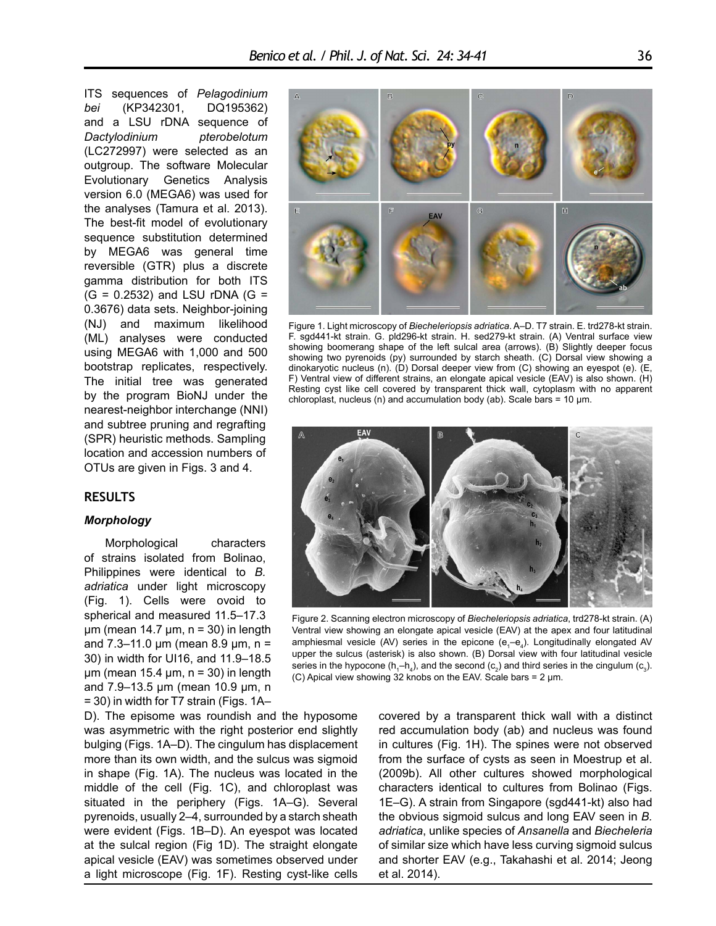ITS sequences of *Pelagodinium bei* (KP342301, DQ195362) and a LSU rDNA sequence of *Dactylodinium pterobelotum* (LC272997) were selected as an outgroup. The software Molecular Evolutionary Genetics Analysis version 6.0 (MEGA6) was used for the analyses (Tamura et al. 2013). The best-fit model of evolutionary sequence substitution determined by MEGA6 was general time reversible (GTR) plus a discrete gamma distribution for both ITS  $(G = 0.2532)$  and LSU rDNA  $(G =$ 0.3676) data sets. Neighbor-joining (NJ) and maximum likelihood (ML) analyses were conducted using MEGA6 with 1,000 and 500 bootstrap replicates, respectively. The initial tree was generated by the program BioNJ under the nearest-neighbor interchange (NNI) and subtree pruning and regrafting (SPR) heuristic methods. Sampling location and accession numbers of OTUs are given in Figs. 3 and 4.

#### **RESULTS**

### *Morphology*

Morphological characters of strains isolated from Bolinao, Philippines were identical to *B. adriatica* under light microscopy (Fig. 1). Cells were ovoid to spherical and measured 11.5–17.3  $\mu$ m (mean 14.7  $\mu$ m, n = 30) in length and  $7.3-11.0 \mu m$  (mean  $8.9 \mu m$ , n = 30) in width for UI16, and 11.9–18.5  $\mu$ m (mean 15.4  $\mu$ m, n = 30) in length and 7.9–13.5 µm (mean 10.9 µm, n = 30) in width for T7 strain (Figs. 1A–

D). The episome was roundish and the hyposome was asymmetric with the right posterior end slightly bulging (Figs. 1A–D). The cingulum has displacement more than its own width, and the sulcus was sigmoid in shape (Fig. 1A). The nucleus was located in the middle of the cell (Fig. 1C), and chloroplast was situated in the periphery (Figs. 1A–G). Several pyrenoids, usually 2–4, surrounded by a starch sheath were evident (Figs. 1B–D). An eyespot was located at the sulcal region (Fig 1D). The straight elongate apical vesicle (EAV) was sometimes observed under a light microscope (Fig. 1F). Resting cyst-like cells



Figure 1. Light microscopy of *Biecheleriopsis adriatica*. A–D. T7 strain. E. trd278-kt strain. F. sgd441-kt strain. G. pld296-kt strain. H. sed279-kt strain. (A) Ventral surface view showing boomerang shape of the left sulcal area (arrows). (B) Slightly deeper focus showing two pyrenoids (py) surrounded by starch sheath. (C) Dorsal view showing a dinokaryotic nucleus (n). (D) Dorsal deeper view from (C) showing an eyespot (e). (E, F) Ventral view of different strains, an elongate apical vesicle (EAV) is also shown. (H) Resting cyst like cell covered by transparent thick wall, cytoplasm with no apparent chloroplast, nucleus (n) and accumulation body (ab). Scale bars = 10 µm.



Figure 2. Scanning electron microscopy of *Biecheleriopsis adriatica*, trd278-kt strain. (A) Ventral view showing an elongate apical vesicle (EAV) at the apex and four latitudinal amphiesmal vesicle (AV) series in the epicone ( $e_1$ - $e_4$ ). Longitudinally elongated AV upper the sulcus (asterisk) is also shown. (B) Dorsal view with four latitudinal vesicle series in the hypocone (h<sub>1</sub>–h<sub>4</sub>), and the second (c<sub>2</sub>) and third series in the cingulum (c<sub>3</sub>). (C) Apical view showing 32 knobs on the EAV. Scale bars =  $2 \mu m$ .

covered by a transparent thick wall with a distinct red accumulation body (ab) and nucleus was found in cultures (Fig. 1H). The spines were not observed from the surface of cysts as seen in Moestrup et al. (2009b). All other cultures showed morphological characters identical to cultures from Bolinao (Figs. 1E–G). A strain from Singapore (sgd441-kt) also had the obvious sigmoid sulcus and long EAV seen in *B. adriatica*, unlike species of *Ansanella* and *Biecheleria* of similar size which have less curving sigmoid sulcus and shorter EAV (e.g., Takahashi et al. 2014; Jeong et al. 2014).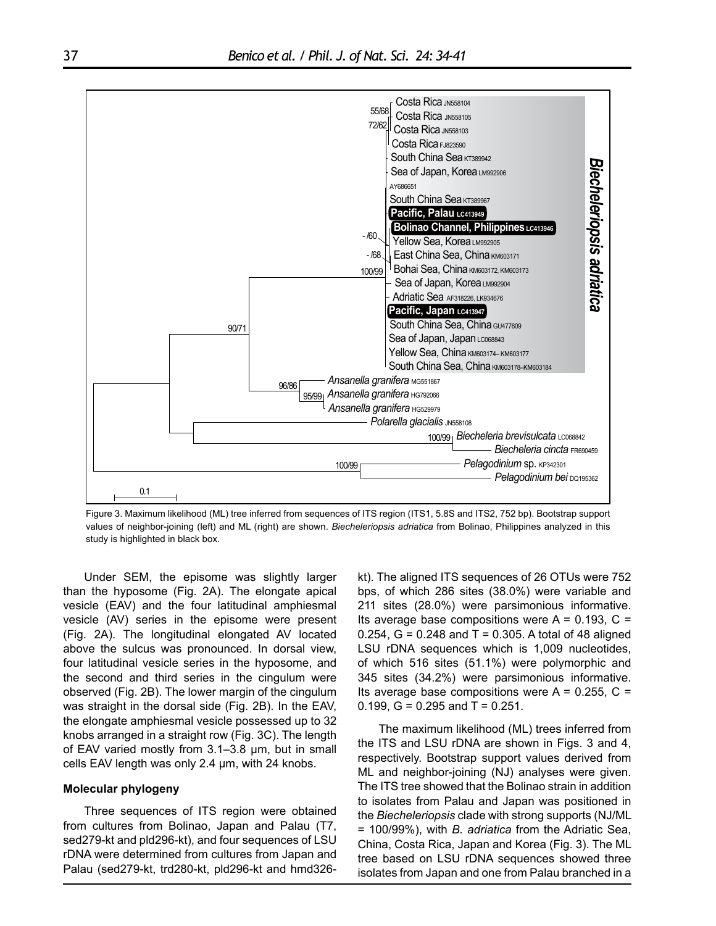

Figure 3. Maximum likelihood (ML) tree inferred from sequences of ITS region (ITS1, 5.8S and ITS2, 752 bp). Bootstrap support values of neighbor-joining (left) and ML (right) are shown. *Biecheleriopsis adriatica* from Bolinao, Philippines analyzed in this study is highlighted in black box.

Under SEM, the episome was slightly larger than the hyposome (Fig. 2A). The elongate apical vesicle (EAV) and the four latitudinal amphiesmal vesicle (AV) series in the episome were present (Fig. 2A). The longitudinal elongated AV located above the sulcus was pronounced. In dorsal view, four latitudinal vesicle series in the hyposome, and the second and third series in the cingulum were observed (Fig. 2B). The lower margin of the cingulum was straight in the dorsal side (Fig. 2B). In the EAV, the elongate amphiesmal vesicle possessed up to 32 knobs arranged in a straight row (Fig. 3C). The length of EAV varied mostly from 3.1–3.8 µm, but in small cells EAV length was only 2.4 µm, with 24 knobs.

#### **Molecular phylogeny**

Three sequences of ITS region were obtained from cultures from Bolinao, Japan and Palau (T7, sed279-kt and pld296-kt), and four sequences of LSU rDNA were determined from cultures from Japan and Palau (sed279-kt, trd280-kt, pld296-kt and hmd326kt). The aligned ITS sequences of 26 OTUs were 752 bps, of which 286 sites (38.0%) were variable and 211 sites (28.0%) were parsimonious informative. Its average base compositions were  $A = 0.193$ ,  $C =$ 0.254,  $G = 0.248$  and  $T = 0.305$ . A total of 48 aligned LSU rDNA sequences which is 1,009 nucleotides, of which 516 sites (51.1%) were polymorphic and 345 sites (34.2%) were parsimonious informative. Its average base compositions were  $A = 0.255$ ,  $C =$ 0.199,  $G = 0.295$  and  $T = 0.251$ .

The maximum likelihood (ML) trees inferred from the ITS and LSU rDNA are shown in Figs. 3 and 4, respectively. Bootstrap support values derived from ML and neighbor-joining (NJ) analyses were given. The ITS tree showed that the Bolinao strain in addition to isolates from Palau and Japan was positioned in the *Biecheleriopsis* clade with strong supports (NJ/ML = 100/99%), with *B. adriatica* from the Adriatic Sea, China, Costa Rica, Japan and Korea (Fig. 3). The ML tree based on LSU rDNA sequences showed three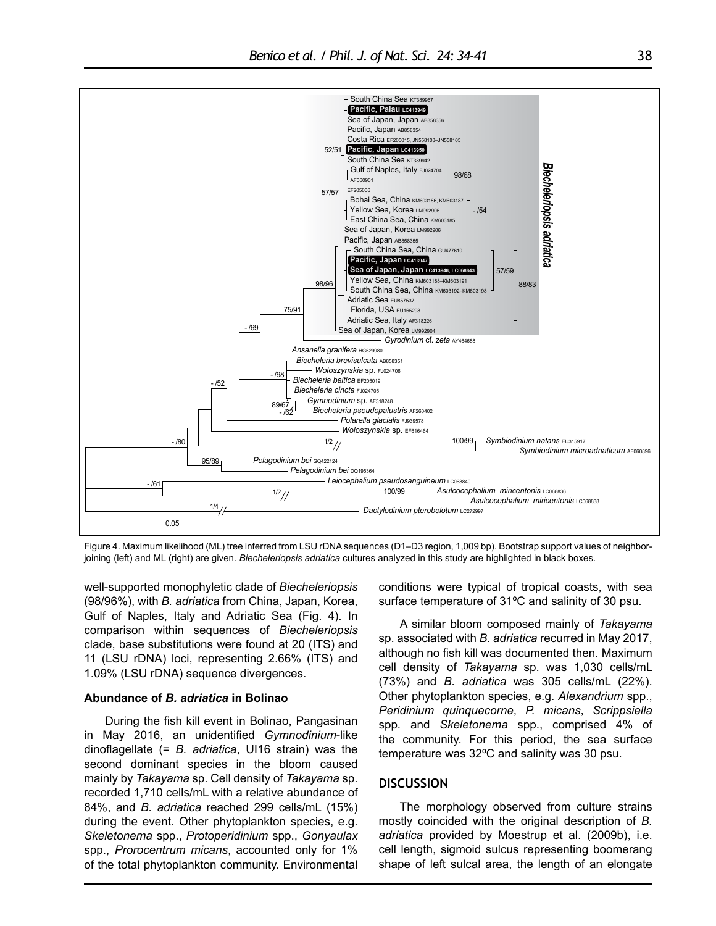

Figure 4. Maximum likelihood (ML) tree inferred from LSU rDNA sequences (D1–D3 region, 1,009 bp). Bootstrap support values of neighborjoining (left) and ML (right) are given. *Biecheleriopsis adriatica* cultures analyzed in this study are highlighted in black boxes.

well-supported monophyletic clade of *Biecheleriopsis* (98/96%), with *B. adriatica* from China, Japan, Korea, Gulf of Naples, Italy and Adriatic Sea (Fig. 4). In comparison within sequences of *Biecheleriopsis* clade, base substitutions were found at 20 (ITS) and 11 (LSU rDNA) loci, representing 2.66% (ITS) and 1.09% (LSU rDNA) sequence divergences.

#### **Abundance of** *B. adriatica* **in Bolinao**

During the fish kill event in Bolinao, Pangasinan in May 2016, an unidentified *Gymnodinium*-like dinoflagellate (= *B. adriatica*, UI16 strain) was the second dominant species in the bloom caused mainly by *Takayama* sp. Cell density of *Takayama* sp. recorded 1,710 cells/mL with a relative abundance of 84%, and *B. adriatica* reached 299 cells/mL (15%) during the event. Other phytoplankton species, e.g. *Skeletonema* spp., *Protoperidinium* spp., *Gonyaulax* spp., *Prorocentrum micans*, accounted only for 1% of the total phytoplankton community. Environmental

conditions were typical of tropical coasts, with sea surface temperature of 31ºC and salinity of 30 psu.

A similar bloom composed mainly of *Takayama*  sp. associated with *B. adriatica* recurred in May 2017, although no fish kill was documented then. Maximum cell density of *Takayama* sp. was 1,030 cells/mL (73%) and *B. adriatica* was 305 cells/mL (22%). Other phytoplankton species, e.g. *Alexandrium* spp., *Peridinium quinquecorne*, *P. micans*, *Scrippsiella*  spp*.* and *Skeletonema* spp., comprised 4% of the community. For this period, the sea surface temperature was 32ºC and salinity was 30 psu.

#### **DISCUSSION**

The morphology observed from culture strains mostly coincided with the original description of *B. adriatica* provided by Moestrup et al. (2009b), i.e. cell length, sigmoid sulcus representing boomerang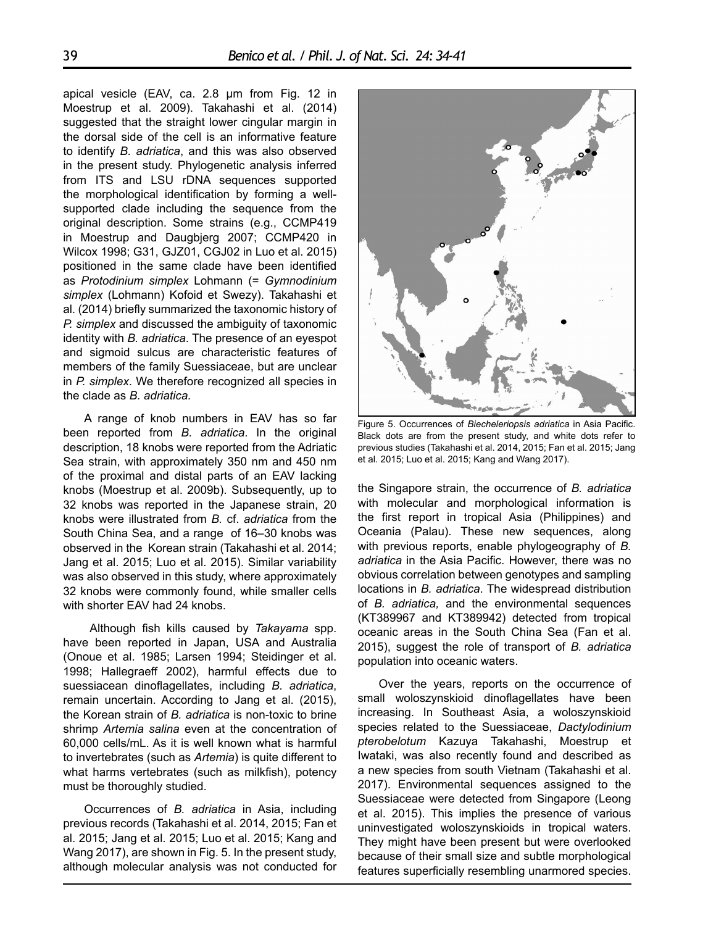apical vesicle (EAV, ca. 2.8 µm from Fig. 12 in Moestrup et al. 2009). Takahashi et al. (2014) suggested that the straight lower cingular margin in the dorsal side of the cell is an informative feature to identify *B. adriatica*, and this was also observed in the present study. Phylogenetic analysis inferred from ITS and LSU rDNA sequences supported the morphological identification by forming a wellsupported clade including the sequence from the original description. Some strains (e.g., CCMP419 in Moestrup and Daugbjerg 2007; CCMP420 in Wilcox 1998; G31, GJZ01, CGJ02 in Luo et al. 2015) positioned in the same clade have been identified as *Protodinium simplex* Lohmann (= *Gymnodinium simplex* (Lohmann) Kofoid et Swezy). Takahashi et al. (2014) briefly summarized the taxonomic history of *P. simplex* and discussed the ambiguity of taxonomic identity with *B. adriatica*. The presence of an eyespot and sigmoid sulcus are characteristic features of members of the family Suessiaceae, but are unclear in *P. simplex*. We therefore recognized all species in the clade as *B. adriatica.*

A range of knob numbers in EAV has so far been reported from *B. adriatica*. In the original description, 18 knobs were reported from the Adriatic Sea strain, with approximately 350 nm and 450 nm of the proximal and distal parts of an EAV lacking knobs (Moestrup et al. 2009b). Subsequently, up to 32 knobs was reported in the Japanese strain, 20 knobs were illustrated from *B.* cf. *adriatica* from the South China Sea, and a range of 16–30 knobs was observed in the Korean strain (Takahashi et al. 2014; Jang et al. 2015; Luo et al. 2015). Similar variability was also observed in this study, where approximately 32 knobs were commonly found, while smaller cells with shorter EAV had 24 knobs.

 Although fish kills caused by *Takayama* spp. have been reported in Japan, USA and Australia (Onoue et al. 1985; Larsen 1994; Steidinger et al. 1998; Hallegraeff 2002), harmful effects due to suessiacean dinoflagellates, including *B. adriatica*, remain uncertain. According to Jang et al. (2015), the Korean strain of *B. adriatica* is non-toxic to brine shrimp *Artemia salina* even at the concentration of 60,000 cells/mL. As it is well known what is harmful to invertebrates (such as *Artemia*) is quite different to what harms vertebrates (such as milkfish), potency must be thoroughly studied.

Occurrences of *B. adriatica* in Asia, including previous records (Takahashi et al. 2014, 2015; Fan et al. 2015; Jang et al. 2015; Luo et al. 2015; Kang and Wang 2017), are shown in Fig. 5. In the present study, although molecular analysis was not conducted for



Figure 5. Occurrences of *Biecheleriopsis adriatica* in Asia Pacific. Black dots are from the present study, and white dots refer to previous studies (Takahashi et al. 2014, 2015; Fan et al. 2015; Jang et al. 2015; Luo et al. 2015; Kang and Wang 2017).

the Singapore strain, the occurrence of *B. adriatica* with molecular and morphological information is the first report in tropical Asia (Philippines) and Oceania (Palau). These new sequences, along with previous reports, enable phylogeography of *B. adriatica* in the Asia Pacific. However, there was no obvious correlation between genotypes and sampling locations in *B. adriatica*. The widespread distribution of *B. adriatica,* and the environmental sequences (KT389967 and KT389942) detected from tropical oceanic areas in the South China Sea (Fan et al. 2015), suggest the role of transport of *B. adriatica* population into oceanic waters.

Over the years, reports on the occurrence of small woloszynskioid dinoflagellates have been increasing. In Southeast Asia, a woloszynskioid species related to the Suessiaceae, *Dactylodinium pterobelotum* Kazuya Takahashi, Moestrup et Iwataki, was also recently found and described as a new species from south Vietnam (Takahashi et al. 2017). Environmental sequences assigned to the Suessiaceae were detected from Singapore (Leong et al. 2015). This implies the presence of various uninvestigated woloszynskioids in tropical waters. They might have been present but were overlooked because of their small size and subtle morphological features superficially resembling unarmored species.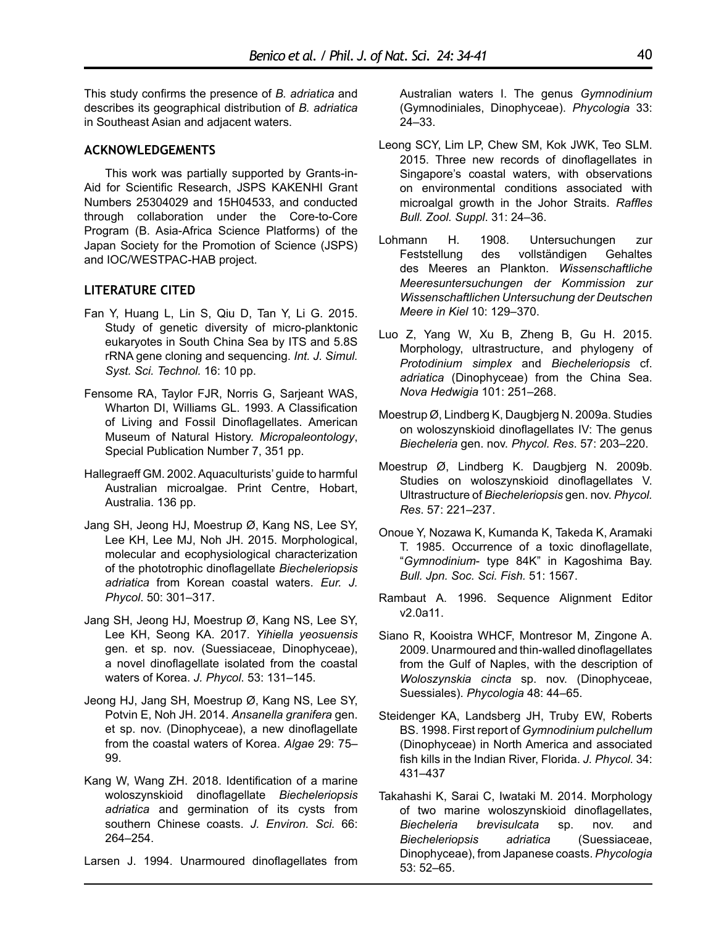This study confirms the presence of *B. adriatica* and describes its geographical distribution of *B. adriatica* in Southeast Asian and adjacent waters.

## **ACKNOWLEDGEMENTS**

This work was partially supported by Grants-in-Aid for Scientific Research, JSPS KAKENHI Grant Numbers 25304029 and 15H04533, and conducted through collaboration under the Core-to-Core Program (B. Asia-Africa Science Platforms) of the Japan Society for the Promotion of Science (JSPS) and IOC/WESTPAC-HAB project.

## **LITERATURE CITED**

- Fan Y, Huang L, Lin S, Qiu D, Tan Y, Li G. 2015. Study of genetic diversity of micro-planktonic eukaryotes in South China Sea by ITS and 5.8S rRNA gene cloning and sequencing. *Int. J. Simul. Syst. Sci. Technol.* 16: 10 pp.
- Fensome RA, Taylor FJR, Norris G, Sarjeant WAS, Wharton DI, Williams GL. 1993. A Classification of Living and Fossil Dinoflagellates. American Museum of Natural History. *Micropaleontology*, Special Publication Number 7, 351 pp.
- Hallegraeff GM. 2002. Aquaculturists' guide to harmful Australian microalgae. Print Centre, Hobart, Australia. 136 pp.
- Jang SH, Jeong HJ, Moestrup Ø, Kang NS, Lee SY, Lee KH, Lee MJ, Noh JH. 2015. Morphological, molecular and ecophysiological characterization of the phototrophic dinoflagellate *Biecheleriopsis adriatica* from Korean coastal waters. *Eur. J. Phycol*. 50: 301–317.
- Jang SH, Jeong HJ, Moestrup Ø, Kang NS, Lee SY, Lee KH, Seong KA. 2017. *Yihiella yeosuensis* gen. et sp. nov. (Suessiaceae, Dinophyceae), a novel dinoflagellate isolated from the coastal waters of Korea. *J. Phycol*. 53: 131–145.
- Jeong HJ, Jang SH, Moestrup Ø, Kang NS, Lee SY, Potvin E, Noh JH. 2014. *Ansanella granifera* gen. et sp. nov. (Dinophyceae), a new dinoflagellate from the coastal waters of Korea. *Algae* 29: 75– 99.
- Kang W, Wang ZH. 2018. Identification of a marine woloszynskioid dinoflagellate *Biecheleriopsis adriatica* and germination of its cysts from southern Chinese coasts. *J. Environ. Sci.* 66: 264–254.

Larsen J. 1994. Unarmoured dinoflagellates from

Australian waters I. The genus *Gymnodinium* (Gymnodiniales, Dinophyceae). *Phycologia* 33: 24–33.

- Leong SCY, Lim LP, Chew SM, Kok JWK, Teo SLM. 2015. Three new records of dinoflagellates in Singapore's coastal waters, with observations on environmental conditions associated with microalgal growth in the Johor Straits. *Raffles Bull. Zool. Suppl*. 31: 24–36.
- Lohmann H. 1908. Untersuchungen zur Feststellung des vollständigen Gehaltes des Meeres an Plankton. *Wissenschaftliche Meeresuntersuchungen der Kommission zur Wissenschaftlichen Untersuchung der Deutschen Meere in Kiel* 10: 129–370.
- Luo Z, Yang W, Xu B, Zheng B, Gu H. 2015. Morphology, ultrastructure, and phylogeny of *Protodinium simplex* and *Biecheleriopsis* cf. *adriatica* (Dinophyceae) from the China Sea. *Nova Hedwigia* 101: 251–268.
- Moestrup Ø, Lindberg K, Daugbjerg N. 2009a. Studies on woloszynskioid dinoflagellates IV: The genus *Biecheleria* gen. nov. *Phycol. Res*. 57: 203–220.
- Moestrup Ø, Lindberg K. Daugbjerg N. 2009b. Studies on woloszynskioid dinoflagellates V. Ultrastructure of *Biecheleriopsis* gen. nov. *Phycol. Res*. 57: 221–237.
- Onoue Y, Nozawa K, Kumanda K, Takeda K, Aramaki T. 1985. Occurrence of a toxic dinoflagellate, "*Gymnodinium*- type 84K" in Kagoshima Bay. *Bull. Jpn. Soc. Sci. Fish.* 51: 1567.
- Rambaut A. 1996. Sequence Alignment Editor v2.0a11.
- Siano R, Kooistra WHCF, Montresor M, Zingone A. 2009. Unarmoured and thin-walled dinoflagellates from the Gulf of Naples, with the description of *Woloszynskia cincta* sp. nov. (Dinophyceae, Suessiales). *Phycologia* 48: 44–65.
- Steidenger KA, Landsberg JH, Truby EW, Roberts BS. 1998. First report of *Gymnodinium pulchellum* (Dinophyceae) in North America and associated fish kills in the Indian River, Florida. *J. Phycol*. 34: 431–437
- Takahashi K, Sarai C, Iwataki M. 2014. Morphology of two marine woloszynskioid dinoflagellates, *Biecheleria brevisulcata* sp. nov. and *Biecheleriopsis adriatica* (Suessiaceae, Dinophyceae), from Japanese coasts. *Phycologia* 53: 52–65.